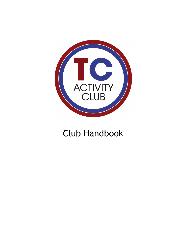

## Club Handbook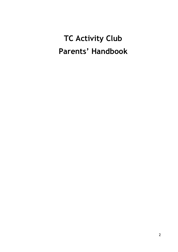# **TC Activity Club Parents' Handbook**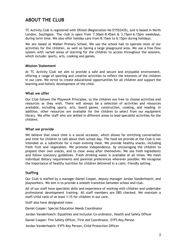## **ABOUT THE CLUB**

TC Activity Club is registered with Ofsted (Registration No EY552435), and is based in North London, Southgate. The club is open from 7.30am-8.45am & 3.15pm-6.15pm weekdays, during term time. We also offer holiday care from 8.15am to 6.15pm during holidays.

We are based at Walker Primary School. We use the school hall to operate most of our activities for the children, as well as having a large playground area. We use a free flow system with varied areas of learning for the children to access throughout the sessions, which include: sports, arts, cooking and games.

#### **Mission Statement**

At TC Activity Club we aim to provide a safe and secure and enjoyable environment, offering a range of sporting and creative activities to reflect the interests of the children in our care. We strive to create educational opportunities for all children and support the learning and holistic development of the child.

#### **What we offer**

Our Club follows the Playwork Principles, so the children are free to choose activities and resources as they wish. There will always be a selection of activities and resources available, including sports, arts, board games, construction, cooking, and reading. In addition, other resources are available for the children to select from our equipment library. We offer staff who are skilled in different areas to lead specialist activities for the children.

#### **What we provide**

We believe that snack time is a social occasion, which allows for enriching conversation and time for children to talk about their school day. The food we provide at the Club is not intended as a substitute for a main evening meal. We provide healthy snacks, including fresh fruit and vegetables. We promote independence, by encouraging the children to prepare their own snacks, and to clear away after themselves. We use fresh ingredients and follow statutory guidelines. Fresh drinking water is available at all times. We meet individual dietary requirements and parental preferences wherever possible. We recognise the importance of healthy nutrition for children delivered in a calm, friendly setting.

#### **Staffing**

Our Club is staffed by a manager Daniel Cooper, deputy manager Jordan Vanderhoech, and playworkers. We aim is to provide a smooth transition between school and club.

All of our staff have specialist skills and experience of working with children and undertake professional development training. All staff members are DBS checked. We maintain a staff/child ratio of at least 1:15 for children in our care.

Staff also have designated roles:

Daniel Cooper: Special Education Needs Coordinator

Jordan Vanderhoech: Equalities and Inclusion Co-ordinator, Health and Safety Officer

Daniel Cooper: Fire Safety Officer, First Aid Coordinator, EYFS Key Person

Jordan Vanderhoech: EYFS Key Person, Child Protection Officer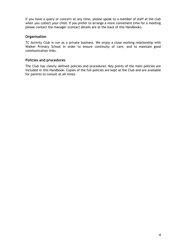If you have a query or concern at any time, please speak to a member of staff at the club when you collect your child. If you prefer to arrange a more convenient time for a meeting please contact the manager (contact details are at the back of this Handbook).

#### **Organisation**

TC Activity Club is run as a private business. We enjoy a close working relationship with Walker Primary School in order to ensure continuity of care, and to maintain good communication links.

#### **Policies and procedures**

The Club has clearly defined policies and procedures. Key points of the main policies are included in this Handbook. Copies of the full policies are kept at the Club and are available for parents to consult at all times.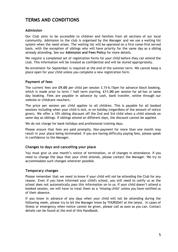## **TERMS AND CONDITIONS**

#### **Admission**

Our Club aims to be accessible to children and families from all sections of our local community. Admission to the club is organised by the Manager and we use a waiting list system when the need arises. The waiting list will be operated on a first come-first served basis, with the exception of siblings who will have priority for the same day as a sibling already attending. See our **Admission and Fees Policy** for more details.

We require a completed set of registration forms for your child before they can attend the club. This information will be treated as confidential and will be stored appropriately.

Re-enrolment for September is required at the end of the summer term. We cannot keep a place open for your child unless you complete a new registration form.

#### **Payment of fees**

The current fees are **£9.00** per child per session 3.15-6.15pm for advance block booking, which is made prior to term / half term starting. **£11.00** per session for ad hoc or same day booking. Fees are payable in advance by cash, bank transfer, online through our website or childcare vouchers.

The price per session per child applies to all children. This is payable for all booked sessions including when your child is sick, or on holiday (regardless of the amount of notice given). We offer a 10% sibling discount off the 2nd and 3rd child when a child attends on same day as siblings. If siblings attend on different days, the discount cannot be applied.

We do not charge for bank holidays and professional training days.

Please ensure that fees are paid promptly. Non-payment for more than one month may result in your place being terminated. If you are having difficulty paying fees, please speak in confidence to the Manager.

#### **Changes to days and cancelling your place**

You must give us one month's notice of termination, or of changes in attendance. If you need to change the days that your child attends, please contact the Manager. We try to accommodate such changes wherever possible.

#### **Temporary changes**

Please remember that we need to know if your child will not be attending the Club for any reason. Even if you have informed your child's school, you still need to notify us as the school does not automatically pass this information on to us. If your child doesn't attend a booked session, we will have to treat them as a 'missing child' unless you have notified us of their absence.

If you know in advance of any days when your child will not be attending during the following week, please try to let the Manager know by THURSDAY at the latest. In cases of illness or emergency when notice cannot be given, please call as soon as you can. Contact details can be found at the end of this Handbook.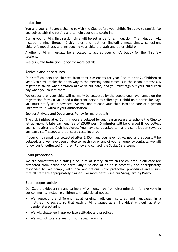#### **Induction**

You and your child are welcome to visit the Club before your child's first day, to familiarise yourselves with the setting and to help your child settle in.

During your child's first session time will be set aside for an induction. The induction will include running through Club's rules and routines (including meal times, collection, children's meetings), and introducing your child the staff and other children.

Another child will usually be allocated to act as your child's buddy for the first few sessions.

See our **Child Induction Policy** for more details.

#### **Arrivals and departures**

Our staff collects the children from their classrooms for year Rec to Year 2. Children in year 3 to 6 will make their own way to the meeting point which is in the school premises. A register is taken when children arrive in our care, and you must sign out your child each day when you collect them.

We expect that your child will normally be collected by the people you have named on the registration form. If you need a different person to collect your child on a particular day, you must notify us in advance. We will not release your child into the care of a person unknown to us without your authorisation.

See our **Arrivals and Departures Policy** for more details.

The club finishes at 6.15pm, if you are delayed for any reason please telephone the Club to let us know. A late payment fee of **£5.00 per 15 minutes** will be charged if you collect your child after the Club has closed. You may also be asked to make a contribution towards any extra staff wages and transport costs incurred.

If your child remains uncollected after 6.45pm and you have not warned us that you will be delayed, and we have been unable to reach you or any of your emergency contacts, we will follow our **Uncollected Children Policy** and contact the Social Care team.

#### **Child protection**

We are committed to building a 'culture of safety' in which the children in our care are protected from abuse and harm. Any suspicion of abuse is promptly and appropriately responded to. We comply with local and national child protection procedures and ensure that all staff are appropriately trained. For more details see our **Safeguarding Policy**.

#### **Equal opportunities**

Our Club provides a safe and caring environment, free from discrimination, for everyone in our community including children with additional needs.

- We respect the different racial origins, religions, cultures and languages in a multi-ethnic society so that each child is valued as an individual without racial or gender stereotyping.
- We will challenge inappropriate attitudes and practices
- We will not tolerate any form of racial harassment.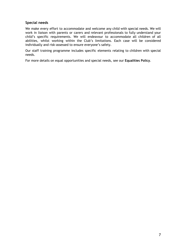#### **Special needs**

We make every effort to accommodate and welcome any child with special needs. We will work in liaison with parents or carers and relevant professionals to fully understand your child's specific requirements. We will endeavour to accommodate all children of all abilities, whilst working within the Club's limitations. Each case will be considered individually and risk-assessed to ensure everyone's safety.

Our staff training programme includes specific elements relating to children with special needs.

For more details on equal opportunities and special needs, see our **Equalities Policy**.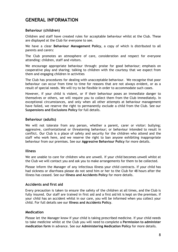## **GENERAL INFORMATION**

#### **Behaviour (children)**

Children and staff have created rules for acceptable behaviour whilst at the Club. These are displayed at the Club for everyone to see.

We have a clear **Behaviour Management Policy**, a copy of which is distributed to all parents and carers:

The Club promotes an atmosphere of care, consideration and respect for everyone attending: children, staff and visitors.

We encourage appropriate behaviour through: praise for good behaviour; emphasis on cooperative play and sharing; talking to children with the courtesy that we expect from them and engaging children in activities

The Club has procedures for dealing with unacceptable behaviour. We recognise that poor behaviour can occur from time to time for reasons that are not always evident, or as a result of special needs. We will try to be flexible in order to accommodate such cases.

However, if your child is violent, or if their behaviour poses an immediate danger to themselves or others, we will require you to collect them from the Club immediately. In exceptional circumstances, and only when all other attempts at behaviour management have failed, we reserve the right to permanently exclude a child from the Club. See our **Suspensions and Exclusions Policy** for full details.

#### **Behaviour (adults)**

We will not tolerate from any person, whether a parent, carer or visitor: bullying; aggressive, confrontational or threatening behaviour; or behaviour intended to result in conflict. Our Club is a place of safety and security for the children who attend and the staff who work here, and we reserve the right to ban anyone exhibiting inappropriate behaviour from our premises. See our **Aggressive Behaviour Policy** for more details.

#### **Illness**

We are unable to care for children who are unwell. If your child becomes unwell whilst at the Club we will contact you and ask you to make arrangements for them to be collected.

Please inform the Manager of any infectious illness your child contracts. If your child has had sickness or diarrhoea please do not send him or her to the Club for 48 hours after the illness has ceased. See our **Illness and Accidents Policy** for more details.

#### **Accidents and first aid**

Every precaution is taken to ensure the safety of the children at all times, and the Club is fully insured. Our staff are trained in first aid and a first aid kit is kept on the premises. If your child has an accident whilst in our care, you will be informed when you collect your child. For full details see our **Illness and Accidents Policy**.

#### **Medication**

Please let the Manager know if your child is taking prescribed medicine. If your child needs to take medicine whilst at the Club you will need to complete a **Permission to administer medication form** in advance. See our **Administering Medication Policy** for more details.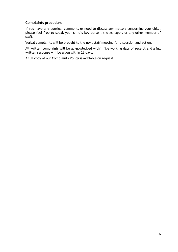#### **Complaints procedure**

If you have any queries, comments or need to discuss any matters concerning your child, please feel free to speak your child's key person, the Manager, or any other member of staff.

Verbal complaints will be brought to the next staff meeting for discussion and action.

All written complaints will be acknowledged within five working days of receipt and a full written response will be given within 28 days.

A full copy of our **Complaints Policy** is available on request.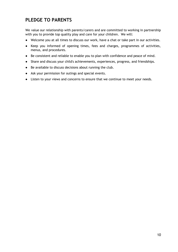## **PLEDGE TO PARENTS**

We value our relationship with parents/carers and are committed to working in partnership with you to provide top quality play and care for your children. We will:

- Welcome you at all times to discuss our work, have a chat or take part in our activities.
- Keep you informed of opening times, fees and charges, programmes of activities, menus, and procedures.
- Be consistent and reliable to enable you to plan with confidence and peace of mind.
- Share and discuss your child's achievements, experiences, progress, and friendships.
- Be available to discuss decisions about running the club.
- Ask your permission for outings and special events.
- Listen to your views and concerns to ensure that we continue to meet your needs.